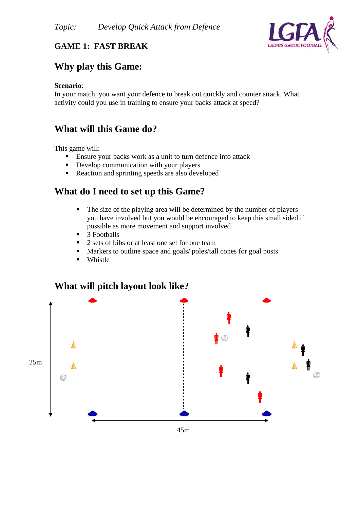

### **GAME 1: FAST BREAK**

# **Why play this Game:**

#### **Scenario**:

In your match, you want your defence to break out quickly and counter attack. What activity could you use in training to ensure your backs attack at speed?

# **What will this Game do?**

This game will:

- Ensure your backs work as a unit to turn defence into attack
- Develop communication with your players
- Reaction and sprinting speeds are also developed

### **What do I need to set up this Game?**

- The size of the playing area will be determined by the number of players you have involved but you would be encouraged to keep this small sided if possible as more movement and support involved
- $\blacksquare$  3 Footballs
- 2 sets of bibs or at least one set for one team
- Markers to outline space and goals/ poles/tall cones for goal posts
- **•** Whistle

### **What will pitch layout look like?**



45m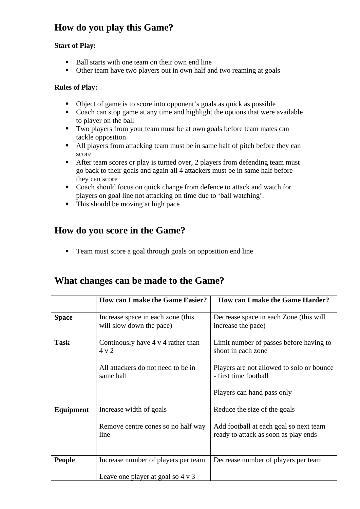# **How do you play this Game?**

### **Start of Play:**

- Ball starts with one team on their own end line
- Other team have two players out in own half and two reaming at goals

#### **Rules of Play:**

- Object of game is to score into opponent's goals as quick as possible
- Coach can stop game at any time and highlight the options that were available to player on the ball
- Two players from your team must be at own goals before team mates can tackle opposition
- All players from attacking team must be in same half of pitch before they can score
- After team scores or play is turned over, 2 players from defending team must go back to their goals and again all 4 attackers must be in same half before they can score
- Coach should focus on quick change from defence to attack and watch for players on goal line not attacking on time due to 'ball watching'.
- $\blacksquare$  This should be moving at high pace

# **How do you score in the Game?**

■ Team must score a goal through goals on opposition end line

# **What changes can be made to the Game?**

|                  | <b>How can I make the Game Easier?</b>                        | How can I make the Game Harder?                                                |
|------------------|---------------------------------------------------------------|--------------------------------------------------------------------------------|
| <b>Space</b>     | Increase space in each zone (this<br>will slow down the pace) | Decrease space in each Zone (this will<br>increase the pace)                   |
| <b>Task</b>      | Continually have 4 v 4 rather than<br>$4 \times 2$            | Limit number of passes before having to<br>shoot in each zone                  |
|                  | All attackers do not need to be in<br>same half               | Players are not allowed to solo or bounce<br>- first time football             |
|                  |                                                               | Players can hand pass only                                                     |
| <b>Equipment</b> | Increase width of goals                                       | Reduce the size of the goals                                                   |
|                  | Remove centre cones so no half way<br>line                    | Add football at each goal so next team<br>ready to attack as soon as play ends |
| <b>People</b>    | Increase number of players per team                           | Decrease number of players per team                                            |
|                  | Leave one player at goal so $4 \times 3$                      |                                                                                |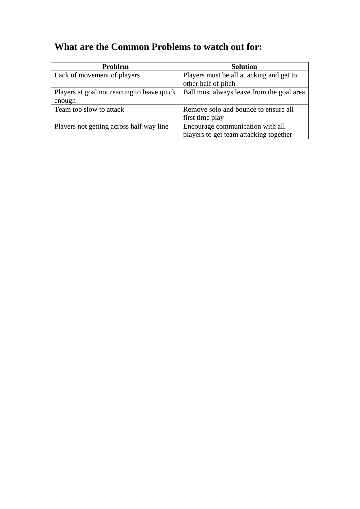# **What are the Common Problems to watch out for:**

| <b>Problem</b>                                        | <b>Solution</b>                                                            |
|-------------------------------------------------------|----------------------------------------------------------------------------|
| Lack of movement of players                           | Players must be all attacking and get to<br>other half of pitch            |
| Players at goal not reacting to leave quick<br>enough | Ball must always leave from the goal area                                  |
| Team too slow to attack                               | Remove solo and bounce to ensure all<br>first time play                    |
| Players not getting across half way line              | Encourage communication with all<br>players to get team attacking together |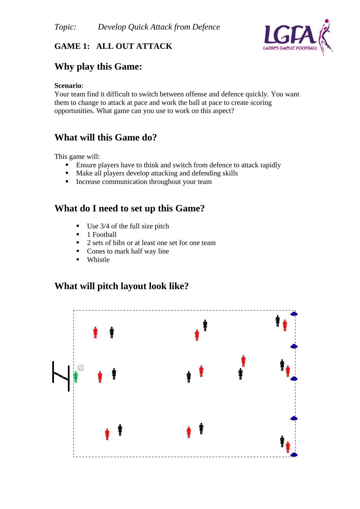

### **GAME 1: ALL OUT ATTACK**

# **Why play this Game:**

#### **Scenario**:

Your team find it difficult to switch between offense and defence quickly. You want them to change to attack at pace and work the ball at pace to create scoring opportunities. What game can you use to work on this aspect?

# **What will this Game do?**

This game will:

- Ensure players have to think and switch from defence to attack rapidly
- Make all players develop attacking and defending skills
- **Increase communication throughout your team**

# **What do I need to set up this Game?**

- $\blacksquare$  Use 3/4 of the full size pitch
- $\blacksquare$  1 Football
- $\blacksquare$  2 sets of bibs or at least one set for one team
- Cones to mark half way line
- **Whistle**

# **What will pitch layout look like?**

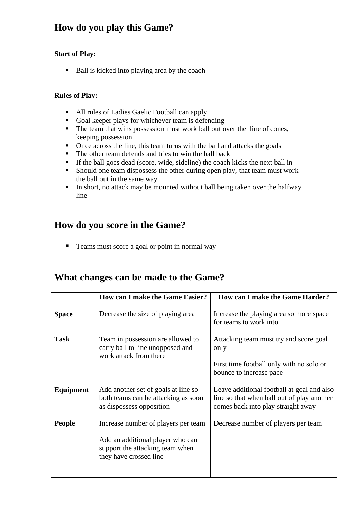# **How do you play this Game?**

#### **Start of Play:**

Ball is kicked into playing area by the coach

#### **Rules of Play:**

- All rules of Ladies Gaelic Football can apply
- Goal keeper plays for whichever team is defending
- The team that wins possession must work ball out over the line of cones, keeping possession
- Once across the line, this team turns with the ball and attacks the goals
- The other team defends and tries to win the ball back
- If the ball goes dead (score, wide, sideline) the coach kicks the next ball in
- Should one team dispossess the other during open play, that team must work the ball out in the same way
- In short, no attack may be mounted without ball being taken over the halfway line

# **How do you score in the Game?**

■ Teams must score a goal or point in normal way

# **What changes can be made to the Game?**

|                  | <b>How can I make the Game Easier?</b>                                                                                               | How can I make the Game Harder?                                                                                                |
|------------------|--------------------------------------------------------------------------------------------------------------------------------------|--------------------------------------------------------------------------------------------------------------------------------|
| <b>Space</b>     | Decrease the size of playing area                                                                                                    | Increase the playing area so more space<br>for teams to work into                                                              |
| <b>Task</b>      | Team in possession are allowed to<br>carry ball to line unopposed and<br>work attack from there                                      | Attacking team must try and score goal<br>only                                                                                 |
|                  |                                                                                                                                      | First time football only with no solo or<br>bounce to increase pace                                                            |
| <b>Equipment</b> | Add another set of goals at line so<br>both teams can be attacking as soon<br>as dispossess opposition                               | Leave additional football at goal and also<br>line so that when ball out of play another<br>comes back into play straight away |
| <b>People</b>    | Increase number of players per team<br>Add an additional player who can<br>support the attacking team when<br>they have crossed line | Decrease number of players per team                                                                                            |